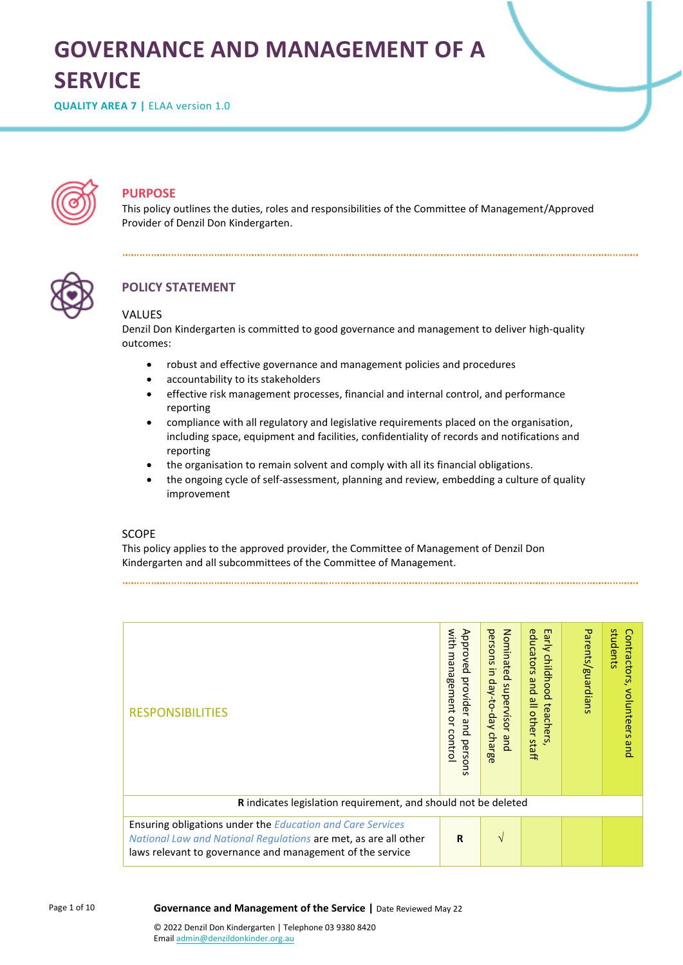# **GOVERNANCE AND MANAGEMENT OF A SERVICE**

**QUALITY AREA 7** | ELAA version 1.0



## **PURPOSE**

This policy outlines the duties, roles and responsibilities of the Committee of Management/Approved Provider of Denzil Don Kindergarten.



## **POLICY STATEMENT**

#### VALUES

Denzil Don Kindergarten is committed to good governance and management to deliver high-quality outcomes:

- robust and effective governance and management policies and procedures
- accountability to its stakeholders
- effective risk management processes, financial and internal control, and performance reporting
- compliance with all regulatory and legislative requirements placed on the organisation, including space, equipment and facilities, confidentiality of records and notifications and reporting
- the organisation to remain solvent and comply with all its financial obligations.
- the ongoing cycle of self-assessment, planning and review, embedding a culture of quality improvement

#### **SCOPE**

This policy applies to the approved provider, the Committee of Management of Denzil Don Kindergarten and all subcommittees of the Committee of Management.

with management or control Approved provider and persons persons in day-to-day charge Nominated supervisor and Early childhood teachers,<br>educators and all other staff Parents/guardians with management or control Approved provider and persons educators and all other staff students students Contractors, volunteers and Contractors, volunteers and persons in day Nominated supervisor and Early childhood teachers, Parents/guardians -to-day charge RESPONSIBILITIES **R** indicates legislation requirement, and should not be deleted Ensuring obligations under the *Education and Care Services*   $R \cup \sqrt{}$ *National Law and National Regulations* are met, as are all other laws relevant to governance and management of the service

#### **Governance and Management of the Service |** Date Reviewed May 22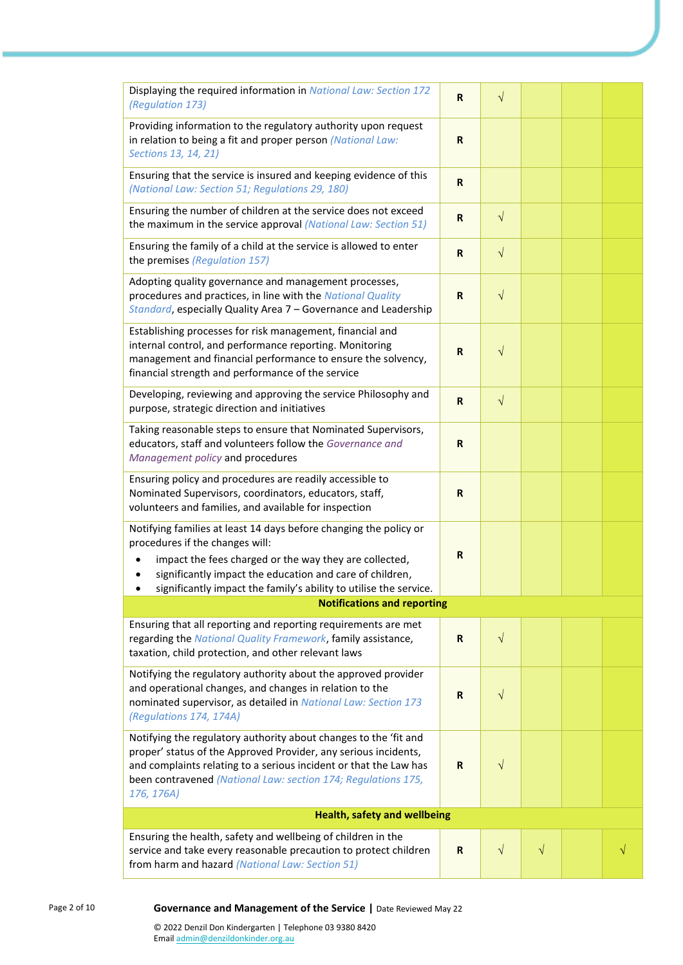| Displaying the required information in National Law: Section 172<br>(Regulation 173)                                                                                                                                                                                                                         | R           | $\sqrt{}$  |           |  |  |
|--------------------------------------------------------------------------------------------------------------------------------------------------------------------------------------------------------------------------------------------------------------------------------------------------------------|-------------|------------|-----------|--|--|
| Providing information to the regulatory authority upon request<br>in relation to being a fit and proper person (National Law:<br>Sections 13, 14, 21)                                                                                                                                                        | R           |            |           |  |  |
| Ensuring that the service is insured and keeping evidence of this<br>(National Law: Section 51; Regulations 29, 180)                                                                                                                                                                                         | $\mathbf R$ |            |           |  |  |
| Ensuring the number of children at the service does not exceed<br>the maximum in the service approval (National Law: Section 51)                                                                                                                                                                             | R           | $\sqrt{}$  |           |  |  |
| Ensuring the family of a child at the service is allowed to enter<br>the premises (Regulation 157)                                                                                                                                                                                                           | R           | $\sqrt{}$  |           |  |  |
| Adopting quality governance and management processes,<br>procedures and practices, in line with the National Quality<br>Standard, especially Quality Area 7 - Governance and Leadership                                                                                                                      | $\mathbf R$ | $\sqrt{}$  |           |  |  |
| Establishing processes for risk management, financial and<br>internal control, and performance reporting. Monitoring<br>management and financial performance to ensure the solvency,<br>financial strength and performance of the service                                                                    | $\mathbf R$ | $\sqrt{}$  |           |  |  |
| Developing, reviewing and approving the service Philosophy and<br>purpose, strategic direction and initiatives                                                                                                                                                                                               | $\mathbf R$ | $\sqrt{}$  |           |  |  |
| Taking reasonable steps to ensure that Nominated Supervisors,<br>educators, staff and volunteers follow the Governance and<br>Management policy and procedures                                                                                                                                               | R           |            |           |  |  |
| Ensuring policy and procedures are readily accessible to<br>Nominated Supervisors, coordinators, educators, staff,<br>volunteers and families, and available for inspection                                                                                                                                  | R           |            |           |  |  |
| Notifying families at least 14 days before changing the policy or<br>procedures if the changes will:<br>impact the fees charged or the way they are collected,<br>significantly impact the education and care of children,<br>significantly impact the family's ability to utilise the service.<br>$\bullet$ | $\mathbf R$ |            |           |  |  |
| <b>Notifications and reporting</b>                                                                                                                                                                                                                                                                           |             |            |           |  |  |
| Ensuring that all reporting and reporting requirements are met<br>regarding the National Quality Framework, family assistance,<br>taxation, child protection, and other relevant laws                                                                                                                        | R           | $\sqrt{}$  |           |  |  |
| Notifying the regulatory authority about the approved provider<br>and operational changes, and changes in relation to the<br>nominated supervisor, as detailed in National Law: Section 173<br>(Regulations 174, 174A)                                                                                       | R           | $\sqrt{}$  |           |  |  |
| Notifying the regulatory authority about changes to the 'fit and<br>proper' status of the Approved Provider, any serious incidents,<br>and complaints relating to a serious incident or that the Law has<br>been contravened (National Law: section 174; Regulations 175,<br>176, 176A)                      | R           | $\sqrt{}$  |           |  |  |
| <b>Health, safety and wellbeing</b>                                                                                                                                                                                                                                                                          |             |            |           |  |  |
| Ensuring the health, safety and wellbeing of children in the<br>service and take every reasonable precaution to protect children<br>from harm and hazard (National Law: Section 51)                                                                                                                          | R           | $\sqrt{ }$ | $\sqrt{}$ |  |  |

#### Page 2 of 10 **Governance and Management of the Service |** Date Reviewed May 22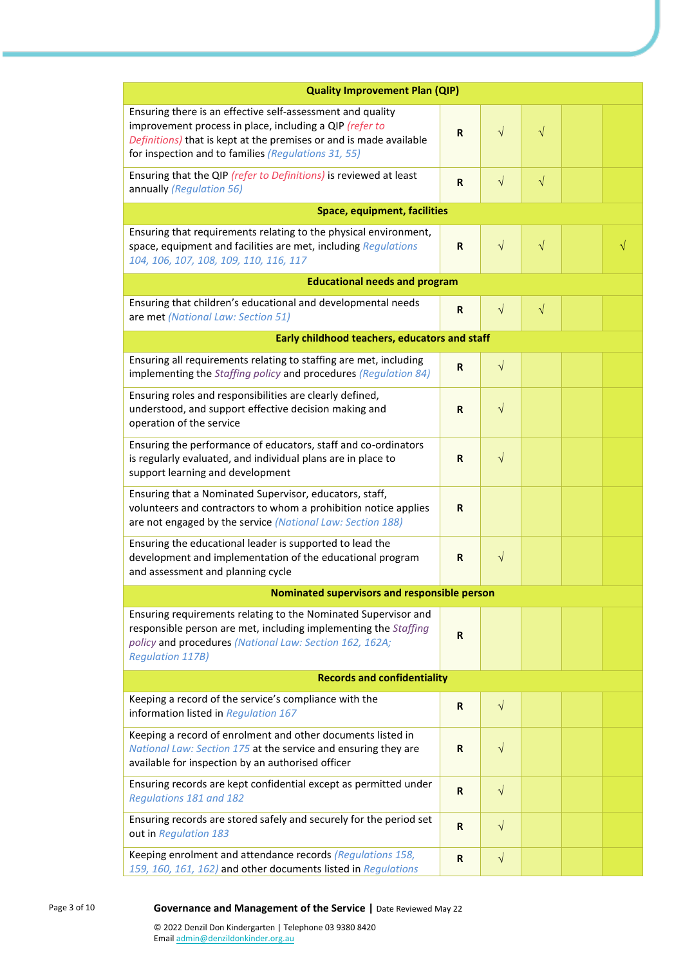| <b>Quality Improvement Plan (QIP)</b>                                                                                                                                                                                                              |             |            |           |  |  |
|----------------------------------------------------------------------------------------------------------------------------------------------------------------------------------------------------------------------------------------------------|-------------|------------|-----------|--|--|
| Ensuring there is an effective self-assessment and quality<br>improvement process in place, including a QIP (refer to<br>Definitions) that is kept at the premises or and is made available<br>for inspection and to families (Regulations 31, 55) | $\mathbf R$ | $\sqrt{}$  | $\sqrt{}$ |  |  |
| Ensuring that the QIP (refer to Definitions) is reviewed at least<br>annually (Regulation 56)                                                                                                                                                      | $\mathbf R$ | $\sqrt{}$  | $\sqrt{}$ |  |  |
| <b>Space, equipment, facilities</b>                                                                                                                                                                                                                |             |            |           |  |  |
| Ensuring that requirements relating to the physical environment,<br>space, equipment and facilities are met, including Regulations<br>104, 106, 107, 108, 109, 110, 116, 117                                                                       | $\mathbf R$ | $\sqrt{ }$ | $\sqrt{}$ |  |  |
| <b>Educational needs and program</b>                                                                                                                                                                                                               |             |            |           |  |  |
| Ensuring that children's educational and developmental needs<br>are met (National Law: Section 51)                                                                                                                                                 | R           | $\sqrt{}$  | $\sqrt{}$ |  |  |
| Early childhood teachers, educators and staff                                                                                                                                                                                                      |             |            |           |  |  |
| Ensuring all requirements relating to staffing are met, including<br>implementing the Staffing policy and procedures (Regulation 84)                                                                                                               | R           | $\sqrt{}$  |           |  |  |
| Ensuring roles and responsibilities are clearly defined,<br>understood, and support effective decision making and<br>operation of the service                                                                                                      | R           | $\sqrt{ }$ |           |  |  |
| Ensuring the performance of educators, staff and co-ordinators<br>is regularly evaluated, and individual plans are in place to<br>support learning and development                                                                                 | R           | $\sqrt{}$  |           |  |  |
| Ensuring that a Nominated Supervisor, educators, staff,<br>volunteers and contractors to whom a prohibition notice applies<br>are not engaged by the service (National Law: Section 188)                                                           | R           |            |           |  |  |
| Ensuring the educational leader is supported to lead the<br>development and implementation of the educational program<br>and assessment and planning cycle                                                                                         | R           | $\sqrt{}$  |           |  |  |
| Nominated supervisors and responsible person                                                                                                                                                                                                       |             |            |           |  |  |
| Ensuring requirements relating to the Nominated Supervisor and<br>responsible person are met, including implementing the Staffing<br>policy and procedures (National Law: Section 162, 162A;<br><b>Regulation 117B)</b>                            | $\mathbf R$ |            |           |  |  |
| <b>Records and confidentiality</b>                                                                                                                                                                                                                 |             |            |           |  |  |
| Keeping a record of the service's compliance with the<br>information listed in Regulation 167                                                                                                                                                      | $\mathbf R$ | $\sqrt{}$  |           |  |  |
| Keeping a record of enrolment and other documents listed in<br>National Law: Section 175 at the service and ensuring they are<br>available for inspection by an authorised officer                                                                 | R           | $\sqrt{}$  |           |  |  |
| Ensuring records are kept confidential except as permitted under<br>Regulations 181 and 182                                                                                                                                                        | $\mathbf R$ | $\sqrt{ }$ |           |  |  |
| Ensuring records are stored safely and securely for the period set<br>out in Regulation 183                                                                                                                                                        | $\mathbf R$ | $\sqrt{ }$ |           |  |  |
| Keeping enrolment and attendance records (Regulations 158,<br>159, 160, 161, 162) and other documents listed in Regulations                                                                                                                        |             | $\sqrt{}$  |           |  |  |

#### Page 3 of 10 **Governance and Management of the Service** | Date Reviewed May 22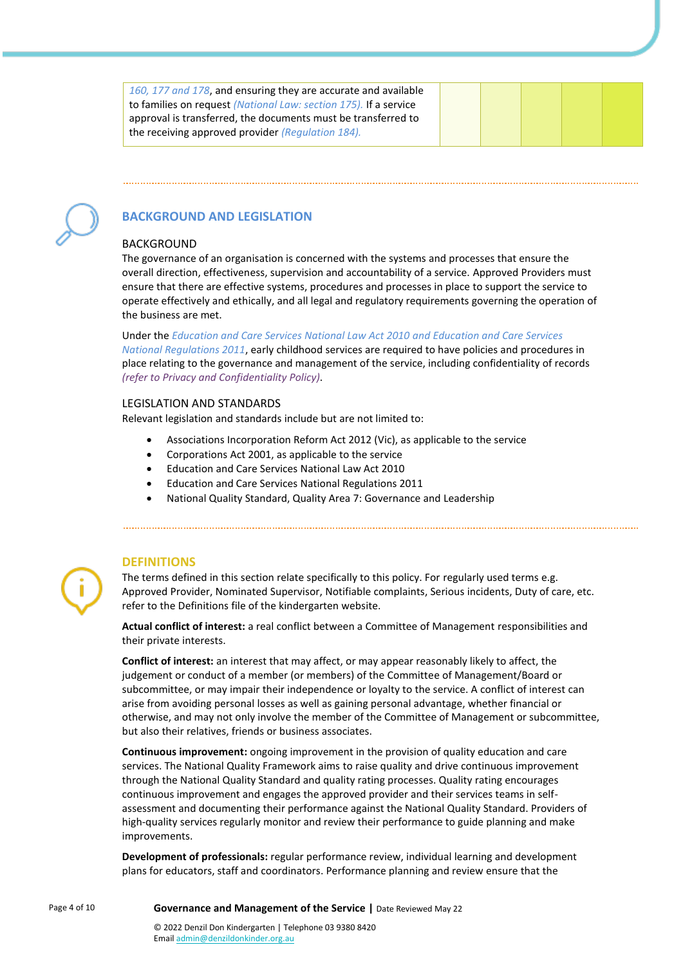*160, 177 and 178*, and ensuring they are accurate and available to families on request *(National Law: section 175).* If a service approval is transferred, the documents must be transferred to the receiving approved provider *(Regulation 184).*



# **BACKGROUND AND LEGISLATION**

#### BACKGROUND

The governance of an organisation is concerned with the systems and processes that ensure the overall direction, effectiveness, supervision and accountability of a service. Approved Providers must ensure that there are effective systems, procedures and processes in place to support the service to operate effectively and ethically, and all legal and regulatory requirements governing the operation of the business are met.

Under the *Education and Care Services National Law Act 2010 and Education and Care Services National Regulations 2011*, early childhood services are required to have policies and procedures in place relating to the governance and management of the service, including confidentiality of records *(refer to Privacy and Confidentiality Policy)*.

#### LEGISLATION AND STANDARDS

Relevant legislation and standards include but are not limited to:

- Associations Incorporation Reform Act 2012 (Vic), as applicable to the service
- Corporations Act 2001, as applicable to the service
- Education and Care Services National Law Act 2010
- Education and Care Services National Regulations 2011
- National Quality Standard, Quality Area 7: Governance and Leadership



#### **DEFINITIONS**

The terms defined in this section relate specifically to this policy. For regularly used terms e.g. Approved Provider, Nominated Supervisor, Notifiable complaints, Serious incidents, Duty of care, etc. refer to the Definitions file of the kindergarten website.

**Actual conflict of interest:** a real conflict between a Committee of Management responsibilities and their private interests.

**Conflict of interest:** an interest that may affect, or may appear reasonably likely to affect, the judgement or conduct of a member (or members) of the Committee of Management/Board or subcommittee, or may impair their independence or loyalty to the service. A conflict of interest can arise from avoiding personal losses as well as gaining personal advantage, whether financial or otherwise, and may not only involve the member of the Committee of Management or subcommittee, but also their relatives, friends or business associates.

**Continuous improvement:** ongoing improvement in the provision of quality education and care services. The National Quality Framework aims to raise quality and drive continuous improvement through the National Quality Standard and quality rating processes. Quality rating encourages continuous improvement and engages the approved provider and their services teams in selfassessment and documenting their performance against the National Quality Standard. Providers of high-quality services regularly monitor and review their performance to guide planning and make improvements.

**Development of professionals:** regular performance review, individual learning and development plans for educators, staff and coordinators. Performance planning and review ensure that the

Page 4 of 10 **Governance and Management of the Service** | Date Reviewed May 22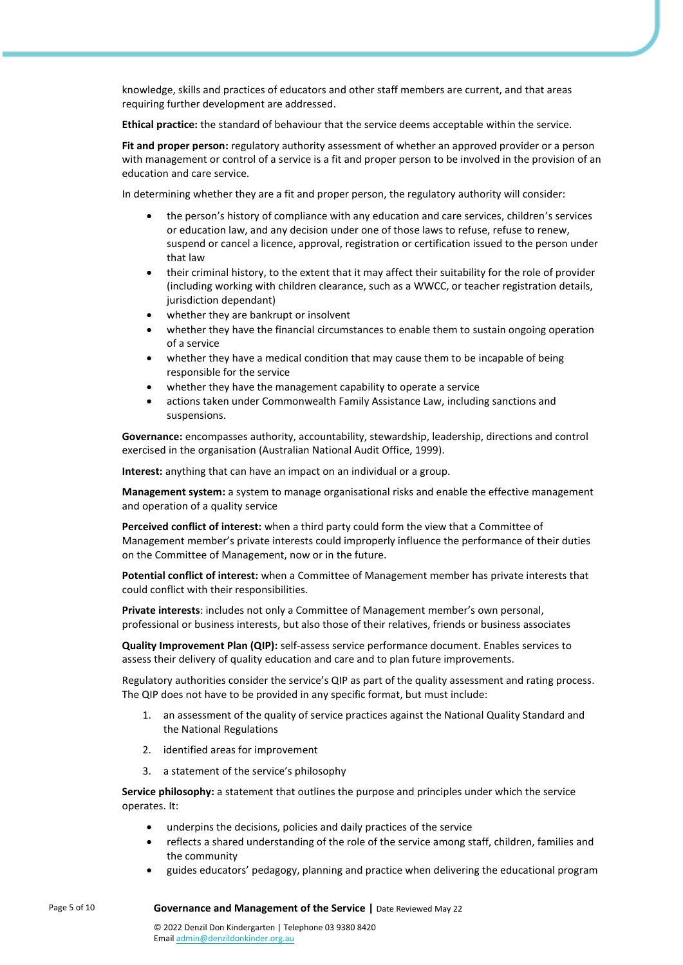knowledge, skills and practices of educators and other staff members are current, and that areas requiring further development are addressed.

**Ethical practice:** the standard of behaviour that the service deems acceptable within the service.

**Fit and proper person:** regulatory authority assessment of whether an approved provider or a person with management or control of a service is a fit and proper person to be involved in the provision of an education and care service.

In determining whether they are a fit and proper person, the regulatory authority will consider:

- the person's history of compliance with any education and care services, children's services or education law, and any decision under one of those laws to refuse, refuse to renew, suspend or cancel a licence, approval, registration or certification issued to the person under that law
- their criminal history, to the extent that it may affect their suitability for the role of provider (including working with children clearance, such as a WWCC, or teacher registration details, jurisdiction dependant)
- whether they are bankrupt or insolvent
- whether they have the financial circumstances to enable them to sustain ongoing operation of a service
- whether they have a medical condition that may cause them to be incapable of being responsible for the service
- whether they have the management capability to operate a service
- actions taken under Commonwealth Family Assistance Law, including sanctions and suspensions.

**Governance:** encompasses authority, accountability, stewardship, leadership, directions and control exercised in the organisation (Australian National Audit Office, 1999).

**Interest:** anything that can have an impact on an individual or a group.

**Management system:** a system to manage organisational risks and enable the effective management and operation of a quality service

**Perceived conflict of interest:** when a third party could form the view that a Committee of Management member's private interests could improperly influence the performance of their duties on the Committee of Management, now or in the future.

**Potential conflict of interest:** when a Committee of Management member has private interests that could conflict with their responsibilities.

**Private interests**: includes not only a Committee of Management member's own personal, professional or business interests, but also those of their relatives, friends or business associates

**Quality Improvement Plan (QIP):** self-assess service performance document. Enables services to assess their delivery of quality education and care and to plan future improvements.

Regulatory authorities consider the service's QIP as part of the quality assessment and rating process. The QIP does not have to be provided in any specific format, but must include:

- 1. an assessment of the quality of service practices against the National Quality Standard and the National Regulations
- 2. identified areas for improvement
- 3. a statement of the service's philosophy

**Service philosophy:** a statement that outlines the purpose and principles under which the service operates. It:

- underpins the decisions, policies and daily practices of the service
- reflects a shared understanding of the role of the service among staff, children, families and the community
- guides educators' pedagogy, planning and practice when delivering the educational program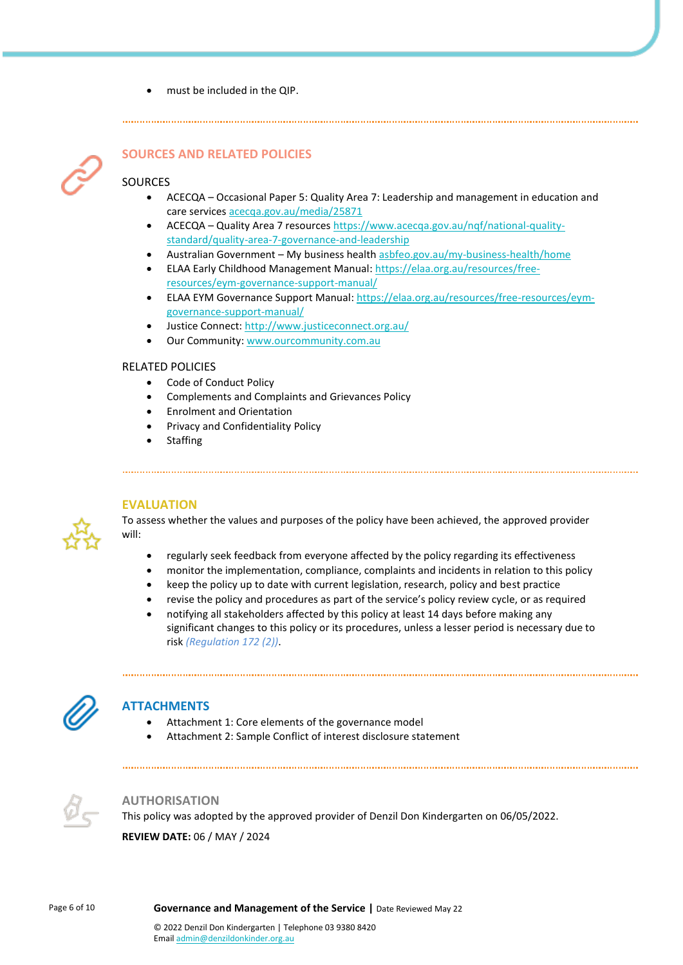• must be included in the QIP.



# **SOURCES AND RELATED POLICIES**

#### SOURCES

- ACECQA Occasional Paper 5: Quality Area 7: Leadership and management in education and care services [acecqa.gov.au/media/25871](https://www.acecqa.gov.au/sites/default/files/2018-02/OccasionalPaper5-LeadershipManagementEducationCareServices.PDF)
- ACECQA Quality Area 7 resource[s https://www.acecqa.gov.au/nqf/national-quality](https://www.acecqa.gov.au/nqf/national-quality-standard/quality-area-7-governance-and-leadership)[standard/quality-area-7-governance-and-leadership](https://www.acecqa.gov.au/nqf/national-quality-standard/quality-area-7-governance-and-leadership)
- Australian Government My business healt[h asbfeo.gov.au/my-business-health/home](https://www.asbfeo.gov.au/my-business-health/home)
- ELAA Early Childhood Management Manual: [https://elaa.org.au/resources/free](https://elaa.org.au/resources/free-resources/eym-governance-support-manual/)[resources/eym-governance-support-manual/](https://elaa.org.au/resources/free-resources/eym-governance-support-manual/)
- ELAA EYM Governance Support Manual: [https://elaa.org.au/resources/free-resources/eym](https://elaa.org.au/resources/free-resources/eym-governance-support-manual/)[governance-support-manual/](https://elaa.org.au/resources/free-resources/eym-governance-support-manual/)
- Justice Connect: <http://www.justiceconnect.org.au/>
- Our Community: [www.ourcommunity.com.au](http://www.ourcommunity.com.au/)

#### RELATED POLICIES

- Code of Conduct Policy
- Complements and Complaints and Grievances Policy
- Enrolment and Orientation
- Privacy and Confidentiality Policy
- **Staffing**

#### **EVALUATION**



To assess whether the values and purposes of the policy have been achieved, the approved provider will:

- regularly seek feedback from everyone affected by the policy regarding its effectiveness
- monitor the implementation, compliance, complaints and incidents in relation to this policy
- keep the policy up to date with current legislation, research, policy and best practice
- revise the policy and procedures as part of the service's policy review cycle, or as required
- notifying all stakeholders affected by this policy at least 14 days before making any significant changes to this policy or its procedures, unless a lesser period is necessary due to risk *(Regulation 172 (2))*.



#### **ATTACHMENTS**

- Attachment 1: Core elements of the governance model
- Attachment 2: Sample Conflict of interest disclosure statement



#### **AUTHORISATION**

This policy was adopted by the approved provider of Denzil Don Kindergarten on 06/05/2022.

**REVIEW DATE:** 06 / MAY / 2024

Page 6 of 10 **Governance and Management of the Service |** Date Reviewed May 22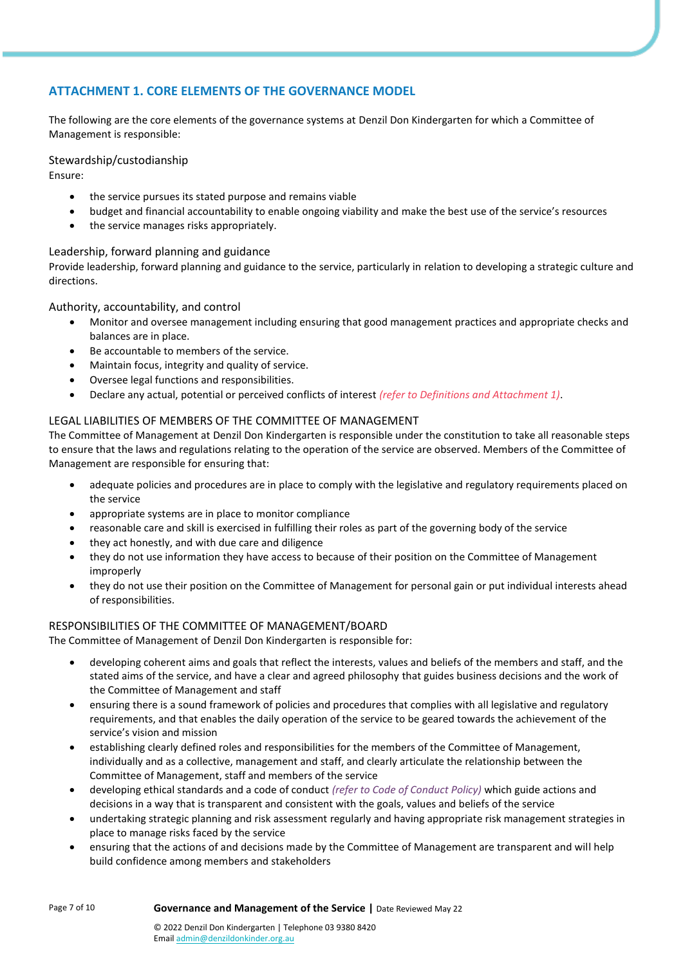## **ATTACHMENT 1. CORE ELEMENTS OF THE GOVERNANCE MODEL**

The following are the core elements of the governance systems at Denzil Don Kindergarten for which a Committee of Management is responsible:

#### Stewardship/custodianship

Ensure:

- the service pursues its stated purpose and remains viable
- budget and financial accountability to enable ongoing viability and make the best use of the service's resources
- the service manages risks appropriately.

#### Leadership, forward planning and guidance

Provide leadership, forward planning and guidance to the service, particularly in relation to developing a strategic culture and directions.

#### Authority, accountability, and control

- Monitor and oversee management including ensuring that good management practices and appropriate checks and balances are in place.
- Be accountable to members of the service.
- Maintain focus, integrity and quality of service.
- Oversee legal functions and responsibilities.
- Declare any actual, potential or perceived conflicts of interest *(refer to Definitions and Attachment 1)*.

#### LEGAL LIABILITIES OF MEMBERS OF THE COMMITTEE OF MANAGEMENT

The Committee of Management at Denzil Don Kindergarten is responsible under the constitution to take all reasonable steps to ensure that the laws and regulations relating to the operation of the service are observed. Members of the Committee of Management are responsible for ensuring that:

- adequate policies and procedures are in place to comply with the legislative and regulatory requirements placed on the service
- appropriate systems are in place to monitor compliance
- reasonable care and skill is exercised in fulfilling their roles as part of the governing body of the service
- they act honestly, and with due care and diligence
- they do not use information they have access to because of their position on the Committee of Management improperly
- they do not use their position on the Committee of Management for personal gain or put individual interests ahead of responsibilities.

#### RESPONSIBILITIES OF THE COMMITTEE OF MANAGEMENT/BOARD

The Committee of Management of Denzil Don Kindergarten is responsible for:

- developing coherent aims and goals that reflect the interests, values and beliefs of the members and staff, and the stated aims of the service, and have a clear and agreed philosophy that guides business decisions and the work of the Committee of Management and staff
- ensuring there is a sound framework of policies and procedures that complies with all legislative and regulatory requirements, and that enables the daily operation of the service to be geared towards the achievement of the service's vision and mission
- establishing clearly defined roles and responsibilities for the members of the Committee of Management, individually and as a collective, management and staff, and clearly articulate the relationship between the Committee of Management, staff and members of the service
- developing ethical standards and a code of conduct *(refer to Code of Conduct Policy)* which guide actions and decisions in a way that is transparent and consistent with the goals, values and beliefs of the service
- undertaking strategic planning and risk assessment regularly and having appropriate risk management strategies in place to manage risks faced by the service
- ensuring that the actions of and decisions made by the Committee of Management are transparent and will help build confidence among members and stakeholders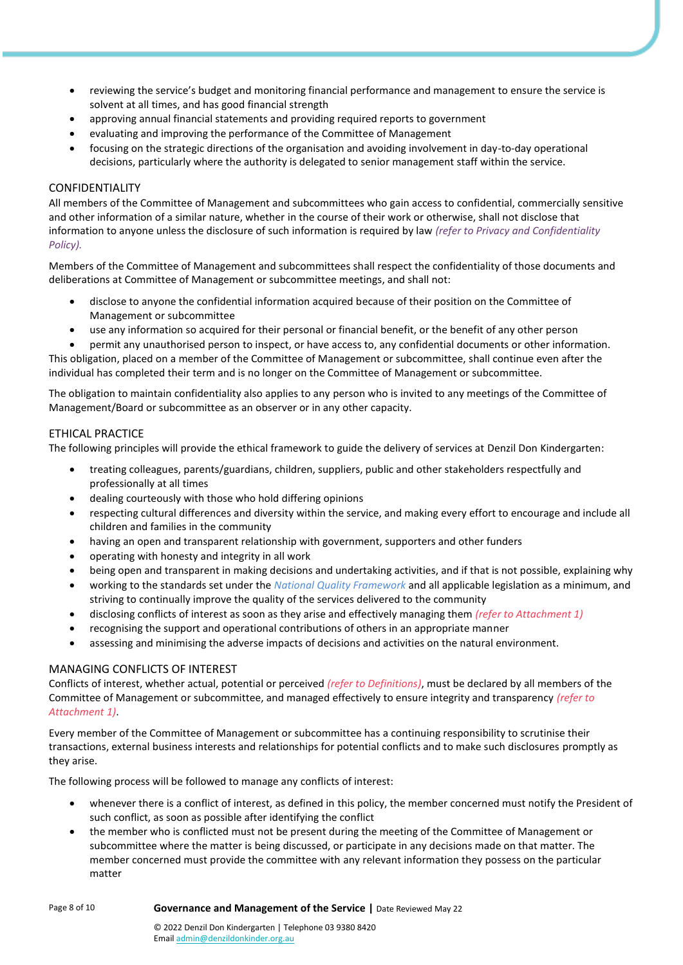- reviewing the service's budget and monitoring financial performance and management to ensure the service is solvent at all times, and has good financial strength
- approving annual financial statements and providing required reports to government
- evaluating and improving the performance of the Committee of Management
- focusing on the strategic directions of the organisation and avoiding involvement in day-to-day operational decisions, particularly where the authority is delegated to senior management staff within the service.

#### CONFIDENTIALITY

All members of the Committee of Management and subcommittees who gain access to confidential, commercially sensitive and other information of a similar nature, whether in the course of their work or otherwise, shall not disclose that information to anyone unless the disclosure of such information is required by law *(refer to Privacy and Confidentiality Policy).*

Members of the Committee of Management and subcommittees shall respect the confidentiality of those documents and deliberations at Committee of Management or subcommittee meetings, and shall not:

- disclose to anyone the confidential information acquired because of their position on the Committee of Management or subcommittee
- use any information so acquired for their personal or financial benefit, or the benefit of any other person

• permit any unauthorised person to inspect, or have access to, any confidential documents or other information. This obligation, placed on a member of the Committee of Management or subcommittee, shall continue even after the individual has completed their term and is no longer on the Committee of Management or subcommittee.

The obligation to maintain confidentiality also applies to any person who is invited to any meetings of the Committee of Management/Board or subcommittee as an observer or in any other capacity.

#### ETHICAL PRACTICE

The following principles will provide the ethical framework to guide the delivery of services at Denzil Don Kindergarten:

- treating colleagues, parents/guardians, children, suppliers, public and other stakeholders respectfully and professionally at all times
- dealing courteously with those who hold differing opinions
- respecting cultural differences and diversity within the service, and making every effort to encourage and include all children and families in the community
- having an open and transparent relationship with government, supporters and other funders
- operating with honesty and integrity in all work
- being open and transparent in making decisions and undertaking activities, and if that is not possible, explaining why
- working to the standards set under the *National Quality Framework* and all applicable legislation as a minimum, and striving to continually improve the quality of the services delivered to the community
- disclosing conflicts of interest as soon as they arise and effectively managing them *(refer to Attachment 1)*
- recognising the support and operational contributions of others in an appropriate manner
- assessing and minimising the adverse impacts of decisions and activities on the natural environment.

#### MANAGING CONFLICTS OF INTEREST

Conflicts of interest, whether actual, potential or perceived *(refer to Definitions)*, must be declared by all members of the Committee of Management or subcommittee, and managed effectively to ensure integrity and transparency *(refer to Attachment 1)*.

Every member of the Committee of Management or subcommittee has a continuing responsibility to scrutinise their transactions, external business interests and relationships for potential conflicts and to make such disclosures promptly as they arise.

The following process will be followed to manage any conflicts of interest:

- whenever there is a conflict of interest, as defined in this policy, the member concerned must notify the President of such conflict, as soon as possible after identifying the conflict
- the member who is conflicted must not be present during the meeting of the Committee of Management or subcommittee where the matter is being discussed, or participate in any decisions made on that matter. The member concerned must provide the committee with any relevant information they possess on the particular matter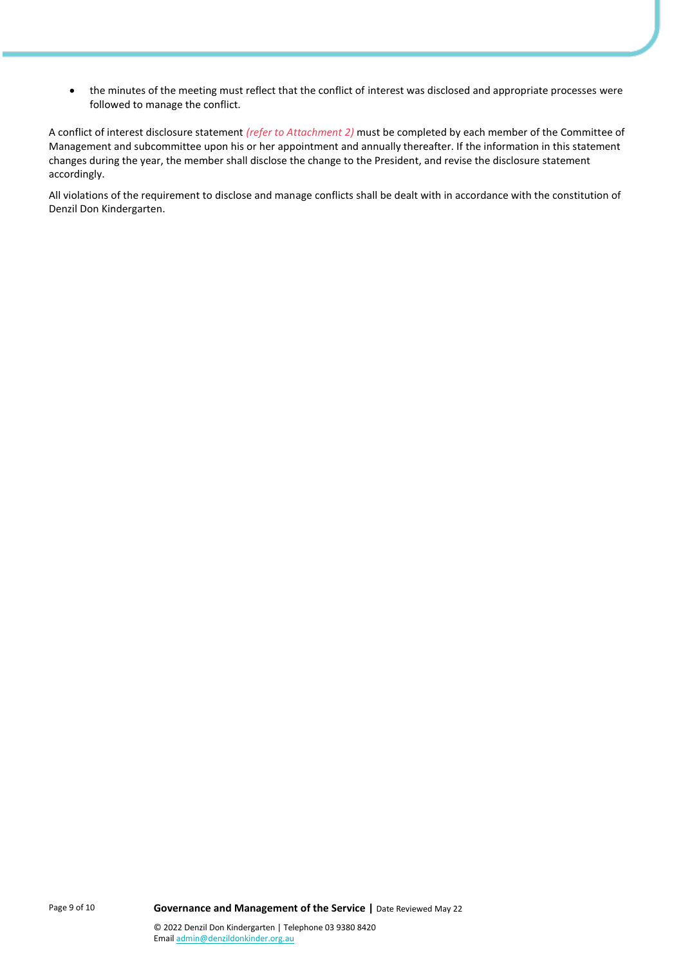• the minutes of the meeting must reflect that the conflict of interest was disclosed and appropriate processes were followed to manage the conflict.

A conflict of interest disclosure statement *(refer to Attachment 2)* must be completed by each member of the Committee of Management and subcommittee upon his or her appointment and annually thereafter. If the information in this statement changes during the year, the member shall disclose the change to the President, and revise the disclosure statement accordingly.

All violations of the requirement to disclose and manage conflicts shall be dealt with in accordance with the constitution of Denzil Don Kindergarten.